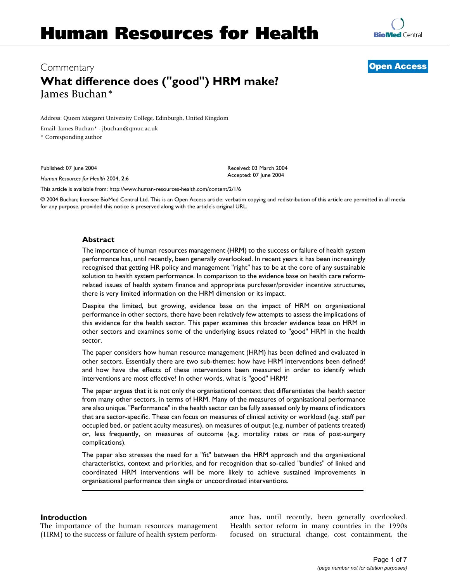# **Human Resources for Health**



# Commentary **[Open Access](http://www.biomedcentral.com/info/about/charter/) What difference does ("good") HRM make?** James Buchan\*

Address: Queen Margaret University College, Edinburgh, United Kingdom

Email: James Buchan\* - jbuchan@qmuc.ac.uk

\* Corresponding author

Published: 07 June 2004

*Human Resources for Health* 2004, **2**:6

Received: 03 March 2004 Accepted: 07 June 2004

[This article is available from: http://www.human-resources-health.com/content/2/1/6](http://www.human-resources-health.com/content/2/1/6)

© 2004 Buchan; licensee BioMed Central Ltd. This is an Open Access article: verbatim copying and redistribution of this article are permitted in all media for any purpose, provided this notice is preserved along with the article's original URL.

#### **Abstract**

The importance of human resources management (HRM) to the success or failure of health system performance has, until recently, been generally overlooked. In recent years it has been increasingly recognised that getting HR policy and management "right" has to be at the core of any sustainable solution to health system performance. In comparison to the evidence base on health care reformrelated issues of health system finance and appropriate purchaser/provider incentive structures, there is very limited information on the HRM dimension or its impact.

Despite the limited, but growing, evidence base on the impact of HRM on organisational performance in other sectors, there have been relatively few attempts to assess the implications of this evidence for the health sector. This paper examines this broader evidence base on HRM in other sectors and examines some of the underlying issues related to "good" HRM in the health sector.

The paper considers how human resource management (HRM) has been defined and evaluated in other sectors. Essentially there are two sub-themes: how have HRM interventions been defined? and how have the effects of these interventions been measured in order to identify which interventions are most effective? In other words, what is "good" HRM?

The paper argues that it is not only the organisational context that differentiates the health sector from many other sectors, in terms of HRM. Many of the measures of organisational performance are also unique. "Performance" in the health sector can be fully assessed only by means of indicators that are sector-specific. These can focus on measures of clinical activity or workload (e.g. staff per occupied bed, or patient acuity measures), on measures of output (e.g. number of patients treated) or, less frequently, on measures of outcome (e.g. mortality rates or rate of post-surgery complications).

The paper also stresses the need for a "fit" between the HRM approach and the organisational characteristics, context and priorities, and for recognition that so-called "bundles" of linked and coordinated HRM interventions will be more likely to achieve sustained improvements in organisational performance than single or uncoordinated interventions.

### **Introduction**

The importance of the human resources management (HRM) to the success or failure of health system performance has, until recently, been generally overlooked. Health sector reform in many countries in the 1990s focused on structural change, cost containment, the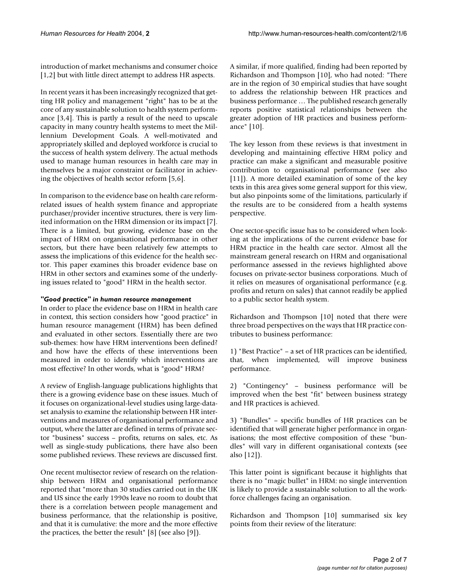introduction of market mechanisms and consumer choice [1,2] but with little direct attempt to address HR aspects.

In recent years it has been increasingly recognized that getting HR policy and management "right" has to be at the core of any sustainable solution to health system performance [3,4]. This is partly a result of the need to upscale capacity in many country health systems to meet the Millennium Development Goals. A well-motivated and appropriately skilled and deployed workforce is crucial to the success of health system delivery. The actual methods used to manage human resources in health care may in themselves be a major constraint or facilitator in achieving the objectives of health sector reform [5,6].

In comparison to the evidence base on health care reformrelated issues of health system finance and appropriate purchaser/provider incentive structures, there is very limited information on the HRM dimension or its impact [7]. There is a limited, but growing, evidence base on the impact of HRM on organisational performance in other sectors, but there have been relatively few attempts to assess the implications of this evidence for the health sector. This paper examines this broader evidence base on HRM in other sectors and examines some of the underlying issues related to "good" HRM in the health sector.

### *"Good practice" in human resource management*

In order to place the evidence base on HRM in health care in context, this section considers how "good practice" in human resource management (HRM) has been defined and evaluated in other sectors. Essentially there are two sub-themes: how have HRM interventions been defined? and how have the effects of these interventions been measured in order to identify which interventions are most effective? In other words, what is "good" HRM?

A review of English-language publications highlights that there is a growing evidence base on these issues. Much of it focuses on organizational-level studies using large-dataset analysis to examine the relationship between HR interventions and measures of organisational performance and output, where the latter are defined in terms of private sector "business" success – profits, returns on sales, etc. As well as single-study publications, there have also been some published reviews. These reviews are discussed first.

One recent multisector review of research on the relationship between HRM and organisational performance reported that "more than 30 studies carried out in the UK and US since the early 1990s leave no room to doubt that there is a correlation between people management and business performance, that the relationship is positive, and that it is cumulative: the more and the more effective the practices, the better the result" [8] (see also [9]).

A similar, if more qualified, finding had been reported by Richardson and Thompson [10], who had noted: "There are in the region of 30 empirical studies that have sought to address the relationship between HR practices and business performance … The published research generally reports positive statistical relationships between the greater adoption of HR practices and business performance" [10].

The key lesson from these reviews is that investment in developing and maintaining effective HRM policy and practice can make a significant and measurable positive contribution to organisational performance (see also [11]). A more detailed examination of some of the key texts in this area gives some general support for this view, but also pinpoints some of the limitations, particularly if the results are to be considered from a health systems perspective.

One sector-specific issue has to be considered when looking at the implications of the current evidence base for HRM practice in the health care sector. Almost all the mainstream general research on HRM and organisational performance assessed in the reviews highlighted above focuses on private-sector business corporations. Much of it relies on measures of organisational performance (e.g. profits and return on sales) that cannot readily be applied to a public sector health system.

Richardson and Thompson [10] noted that there were three broad perspectives on the ways that HR practice contributes to business performance:

1) "Best Practice" – a set of HR practices can be identified, that, when implemented, will improve business performance.

2) "Contingency" – business performance will be improved when the best "fit" between business strategy and HR practices is achieved.

3) "Bundles" – specific bundles of HR practices can be identified that will generate higher performance in organisations; the most effective composition of these "bundles" will vary in different organisational contexts (see also [12]).

This latter point is significant because it highlights that there is no "magic bullet" in HRM: no single intervention is likely to provide a sustainable solution to all the workforce challenges facing an organisation.

Richardson and Thompson [10] summarised six key points from their review of the literature: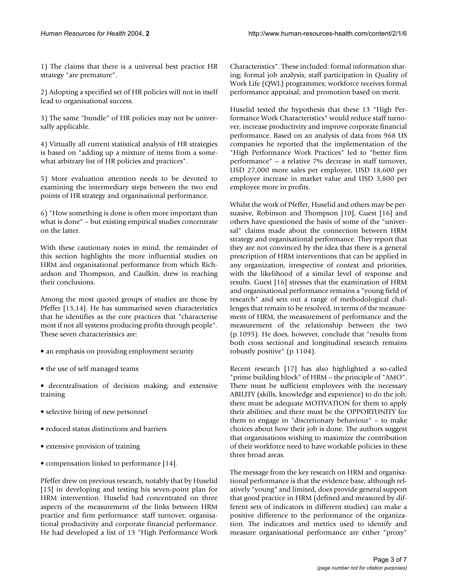1) The claims that there is a universal best practice HR strategy "are premature".

2) Adopting a specified set of HR policies will not in itself lead to organisational success.

3) The same "bundle" of HR policies may not be universally applicable.

4) Virtually all current statistical analysis of HR strategies is based on "adding up a mixture of items from a somewhat arbitrary list of HR policies and practices".

5) More evaluation attention needs to be devoted to examining the intermediary steps between the two end points of HR strategy and organisational performance.

6) "How something is done is often more important than what is done" – but existing empirical studies concentrate on the latter.

With these cautionary notes in mind, the remainder of this section highlights the more influential studies on HRM and organisational performance from which Richardson and Thompson, and Caulkin, drew in reaching their conclusions.

Among the most quoted groups of studies are those by Pfeffer [13,14]. He has summarised seven characteristics that he identifies as the core practices that "characterise most if not all systems producing profits through people". These seven characteristsics are:

- an emphasis on providing employment security
- the use of self managed teams

• decentralisation of decision making; and extensive training

- selective hiring of new personnel
- reduced status distinctions and barriers
- extensive provision of training
- compensation linked to performance [14].

Pfeffer drew on previous research, notably that by Huselid [15] in developing and testing his seven-point plan for HRM intervention. Huselid had concentrated on three aspects of the measurement of the links between HRM practice and firm performance: staff turnover, organisational productivity and corporate financial performance. He had developed a list of 13 "High Performance Work Characteristics". These included: formal information sharing; formal job analysis; staff participation in Quality of Work Life (QWL) programmes; workforce receives formal performance appraisal; and promotion based on merit.

Huselid tested the hypothesis that these 13 "High Performance Work Characteristics" would reduce staff turnover, increase productivity and improve corporate financial performance. Based on an analysis of data from 968 US companies he reported that the implementation of the "High Performance Work Practices" led to "better firm performance" – a relative 7% decrease in staff turnover, USD 27,000 more sales per employee, USD 18,600 per employee increase in market value and USD 3,800 per employee more in profits.

Whilst the work of Pfeffer, Huselid and others may be persuasive, Robinson and Thompson [10], Guest [16] and others have questioned the basis of some of the "universal" claims made about the connection between HRM strategy and organisational performance. They report that they are not convinced by the idea that there is a general prescription of HRM interventions that can be applied in any organization, irrespective of context and priorities, with the likelihood of a similar level of response and results. Guest [16] stresses that the examination of HRM and organisational performance remains a "young field of research" and sets out a range of methodological challenges that remain to be resolved, in terms of the measurement of HRM, the measurement of performance and the measurement of the relationship between the two (p.1095). He does, however, conclude that "results from both cross sectional and longitudinal research remains robustly positive" (p.1104).

Recent research [17] has also highlighted a so-called "prime building block" of HRM – the principle of "AMO". There must be sufficient employees with the necessary ABILITY (skills, knowledge and experience) to do the job; there must be adequate MOTIVATION for them to apply their abilities; and there must be the OPPORTUNITY for them to engage in "discretionary behaviour" – to make choices about how their job is done. The authors suggest that organisations wishing to maximize the contribution of their workforce need to have workable policies in these three broad areas.

The message from the key research on HRM and organisational performance is that the evidence base, although relatively "young" and limited, does provide general support that good practice in HRM (defined and measured by different sets of indicators in different studies) can make a positive difference to the performance of the organization. The indicators and metrics used to identify and measure organisational performance are either "proxy"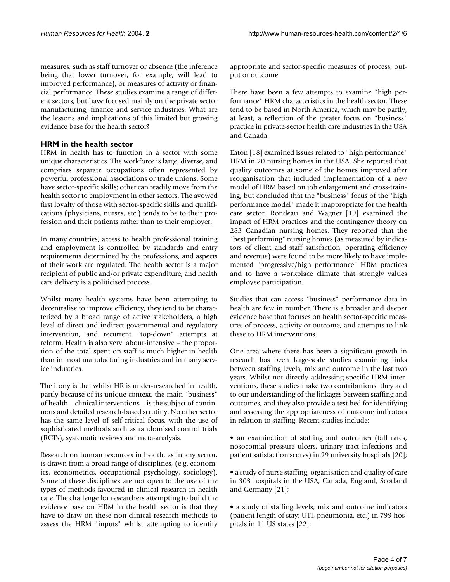measures, such as staff turnover or absence (the inference being that lower turnover, for example, will lead to improved performance), or measures of activity or financial performance. These studies examine a range of different sectors, but have focused mainly on the private sector manufacturing, finance and service industries. What are the lessons and implications of this limited but growing evidence base for the health sector?

## **HRM in the health sector**

HRM in health has to function in a sector with some unique characteristics. The workforce is large, diverse, and comprises separate occupations often represented by powerful professional associations or trade unions. Some have sector-specific skills; other can readily move from the health sector to employment in other sectors. The avowed first loyalty of those with sector-specific skills and qualifications (physicians, nurses, etc.) tends to be to their profession and their patients rather than to their employer.

In many countries, access to health professional training and employment is controlled by standards and entry requirements determined by the professions, and aspects of their work are regulated. The health sector is a major recipient of public and/or private expenditure, and health care delivery is a politicised process.

Whilst many health systems have been attempting to decentralise to improve efficiency, they tend to be characterized by a broad range of active stakeholders, a high level of direct and indirect governmental and regulatory intervention, and recurrent "top-down" attempts at reform. Health is also very labour-intensive – the proportion of the total spent on staff is much higher in health than in most manufacturing industries and in many service industries.

The irony is that whilst HR is under-researched in health, partly because of its unique context, the main "business" of health – clinical interventions – is the subject of continuous and detailed research-based scrutiny. No other sector has the same level of self-critical focus, with the use of sophisticated methods such as randomised control trials (RCTs), systematic reviews and meta-analysis.

Research on human resources in health, as in any sector, is drawn from a broad range of disciplines, (e.g. economics, econometrics, occupational psychology, sociology). Some of these disciplines are not open to the use of the types of methods favoured in clinical research in health care. The challenge for researchers attempting to build the evidence base on HRM in the health sector is that they have to draw on these non-clinical research methods to assess the HRM "inputs" whilst attempting to identify appropriate and sector-specific measures of process, output or outcome.

There have been a few attempts to examine "high performance" HRM characteristics in the health sector. These tend to be based in North America, which may be partly, at least, a reflection of the greater focus on "business" practice in private-sector health care industries in the USA and Canada.

Eaton [18] examined issues related to "high performance" HRM in 20 nursing homes in the USA. She reported that quality outcomes at some of the homes improved after reorganisation that included implementation of a new model of HRM based on job enlargement and cross-training, but concluded that the "business" focus of the "high performance model" made it inappropriate for the health care sector. Rondeau and Wagner [19] examined the impact of HRM practices and the contingency theory on 283 Canadian nursing homes. They reported that the "best performing" nursing homes (as measured by indicators of client and staff satisfaction, operating efficiency and revenue) were found to be more likely to have implemented "progressive/high performance" HRM practices and to have a workplace climate that strongly values employee participation.

Studies that can access "business" performance data in health are few in number. There is a broader and deeper evidence base that focuses on health sector-specific measures of process, activity or outcome, and attempts to link these to HRM interventions.

One area where there has been a significant growth in research has been large-scale studies examining links between staffing levels, mix and outcome in the last two years. Whilst not directly addressing specific HRM interventions, these studies make two contributions: they add to our understanding of the linkages between staffing and outcomes, and they also provide a test bed for identifying and assessing the appropriateness of outcome indicators in relation to staffing. Recent studies include:

• an examination of staffing and outcomes (fall rates, nosocomial pressure ulcers, urinary tract infections and patient satisfaction scores) in 29 university hospitals [20];

• a study of nurse staffing, organisation and quality of care in 303 hospitals in the USA, Canada, England, Scotland and Germany [21];

• a study of staffing levels, mix and outcome indicators (patient length of stay; UTI, pneumonia, etc.) in 799 hospitals in 11 US states [22];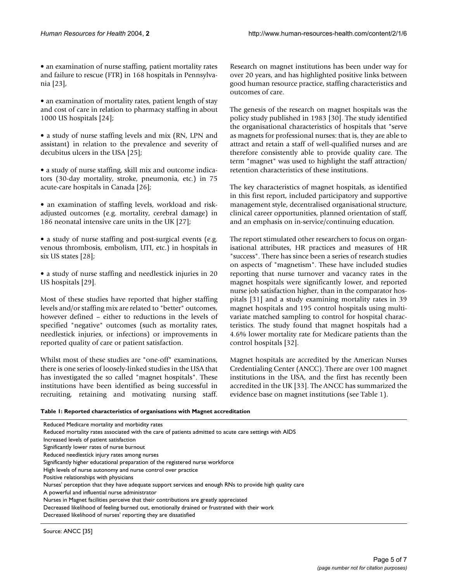• an examination of nurse staffing, patient mortality rates and failure to rescue (FTR) in 168 hospitals in Pennsylvania [23],

• an examination of mortality rates, patient length of stay and cost of care in relation to pharmacy staffing in about 1000 US hospitals [24];

• a study of nurse staffing levels and mix (RN, LPN and assistant) in relation to the prevalence and severity of decubitus ulcers in the USA [25];

• a study of nurse staffing, skill mix and outcome indicators (30-day mortality, stroke, pneumonia, etc.) in 75 acute-care hospitals in Canada [26];

• an examination of staffing levels, workload and riskadjusted outcomes (e.g. mortality, cerebral damage) in 186 neonatal intensive care units in the UK [27];

• a study of nurse staffing and post-surgical events (e.g. venous thrombosis, embolism, UTI, etc.) in hospitals in six US states [28];

• a study of nurse staffing and needlestick injuries in 20 US hospitals [29].

Most of these studies have reported that higher staffing levels and/or staffing mix are related to "better" outcomes, however defined – either to reductions in the levels of specified "negative" outcomes (such as mortality rates, needlestick injuries, or infections) or improvements in reported quality of care or patient satisfaction.

Whilst most of these studies are "one-off" examinations, there is one series of loosely-linked studies in the USA that has investigated the so called "magnet hospitals". These institutions have been identified as being successful in recruiting, retaining and motivating nursing staff. Research on magnet institutions has been under way for over 20 years, and has highlighted positive links between good human resource practice, staffing characteristics and outcomes of care.

The genesis of the research on magnet hospitals was the policy study published in 1983 [30]. The study identified the organisational characteristics of hospitals that "serve as magnets for professional nurses: that is, they are able to attract and retain a staff of well-qualified nurses and are therefore consistently able to provide quality care. The term "magnet" was used to highlight the staff attraction/ retention characteristics of these institutions.

The key characteristics of magnet hospitals, as identified in this first report, included participatory and supportive management style, decentralised organisational structure, clinical career opportunities, planned orientation of staff, and an emphasis on in-service/continuing education.

The report stimulated other researchers to focus on organisational attributes, HR practices and measures of HR "success". There has since been a series of research studies on aspects of "magnetism". These have included studies reporting that nurse turnover and vacancy rates in the magnet hospitals were significantly lower, and reported nurse job satisfaction higher, than in the comparator hospitals [31] and a study examining mortality rates in 39 magnet hospitals and 195 control hospitals using multivariate matched sampling to control for hospital characteristics. The study found that magnet hospitals had a 4.6% lower mortality rate for Medicare patients than the control hospitals [32].

Magnet hospitals are accredited by the American Nurses Credentialing Center (ANCC). There are over 100 magnet institutions in the USA, and the first has recently been accredited in the UK [33]. The ANCC has summarized the evidence base on magnet institutions (see Table [1\)](#page-4-0).

<span id="page-4-0"></span>**Table 1: Reported characteristics of organisations with Magnet accreditation**

Reduced Medicare mortality and morbidity rates

Reduced mortality rates associated with the care of patients admitted to acute care settings with AIDS Increased levels of patient satisfaction Significantly lower rates of nurse burnout Reduced needlestick injury rates among nurses Significantly higher educational preparation of the registered nurse workforce High levels of nurse autonomy and nurse control over practice Positive relationships with physicians Nurses' perception that they have adequate support services and enough RNs to provide high quality care A powerful and influential nurse administrator Nurses in Magnet facilities perceive that their contributions are greatly appreciated Decreased likelihood of feeling burned out, emotionally drained or frustrated with their work

Decreased likelihood of nurses' reporting they are dissatisfied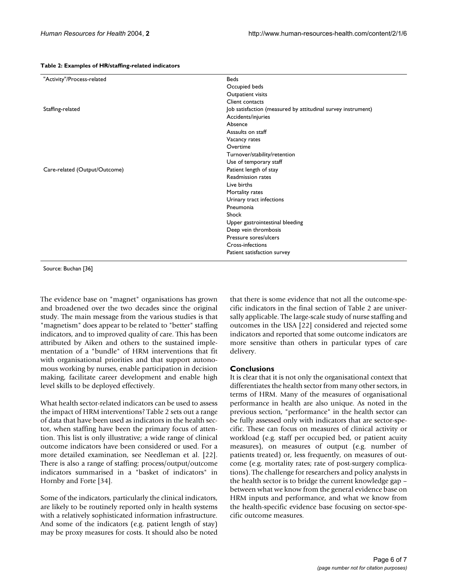| "Activity"/Process-related    | <b>Beds</b>                                                  |
|-------------------------------|--------------------------------------------------------------|
|                               | Occupied beds                                                |
|                               | Outpatient visits                                            |
|                               | Client contacts                                              |
| Staffing-related              | Job satisfaction (measured by attitudinal survey instrument) |
|                               | Accidents/injuries                                           |
|                               | Absence                                                      |
|                               | Assaults on staff                                            |
|                               | Vacancy rates                                                |
|                               | Overtime                                                     |
|                               | Turnover/stability/retention                                 |
|                               | Use of temporary staff                                       |
| Care-related (Output/Outcome) | Patient length of stay                                       |
|                               | <b>Readmission rates</b>                                     |
|                               | Live births                                                  |
|                               | Mortality rates                                              |
|                               | Urinary tract infections                                     |
|                               | Pneumonia                                                    |
|                               | Shock                                                        |
|                               | Upper gastrointestinal bleeding                              |
|                               | Deep vein thrombosis                                         |
|                               | Pressure sores/ulcers                                        |
|                               | Cross-infections                                             |
|                               | Patient satisfaction survey                                  |
|                               |                                                              |

#### <span id="page-5-0"></span>**Table 2: Examples of HR/staffing-related indicators**

Source: Buchan [36]

The evidence base on "magnet" organisations has grown and broadened over the two decades since the original study. The main message from the various studies is that "magnetism" does appear to be related to "better" staffing indicators, and to improved quality of care. This has been attributed by Aiken and others to the sustained implementation of a "bundle" of HRM interventions that fit with organisational priorities and that support autonomous working by nurses, enable participation in decision making, facilitate career development and enable high level skills to be deployed effectively.

What health sector-related indicators can be used to assess the impact of HRM interventions? Table [2](#page-5-0) sets out a range of data that have been used as indicators in the health sector, when staffing have been the primary focus of attention. This list is only illustrative; a wide range of clinical outcome indicators have been considered or used. For a more detailed examination, see Needleman et al. [22]. There is also a range of staffing: process/output/outcome indicators summarised in a "basket of indicators" in Hornby and Forte [34].

Some of the indicators, particularly the clinical indicators, are likely to be routinely reported only in health systems with a relatively sophisticated information infrastructure. And some of the indicators (e.g. patient length of stay) may be proxy measures for costs. It should also be noted

that there is some evidence that not all the outcome-specific indicators in the final section of Table [2](#page-5-0) are universally applicable. The large-scale study of nurse staffing and outcomes in the USA [22] considered and rejected some indicators and reported that some outcome indicators are more sensitive than others in particular types of care delivery.

# **Conclusions**

It is clear that it is not only the organisational context that differentiates the health sector from many other sectors, in terms of HRM. Many of the measures of organisational performance in health are also unique. As noted in the previous section, "performance" in the health sector can be fully assessed only with indicators that are sector-specific. These can focus on measures of clinical activity or workload (e.g. staff per occupied bed, or patient acuity measures), on measures of output (e.g. number of patients treated) or, less frequently, on measures of outcome (e.g. mortality rates; rate of post-surgery complications). The challenge for researchers and policy analysts in the health sector is to bridge the current knowledge gap – between what we know from the general evidence base on HRM inputs and performance, and what we know from the health-specific evidence base focusing on sector-specific outcome measures.